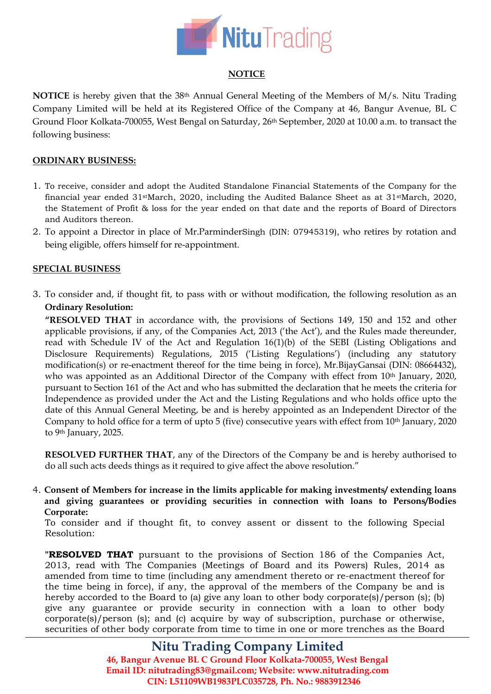

## **NOTICE**

**NOTICE** is hereby given that the 38th Annual General Meeting of the Members of M/s. Nitu Trading Company Limited will be held at its Registered Office of the Company at 46, Bangur Avenue, BL C Ground Floor Kolkata-700055, West Bengal on Saturday, 26<sup>th</sup> September, 2020 at 10.00 a.m. to transact the following business:

## **ORDINARY BUSINESS:**

- 1. To receive, consider and adopt the Audited Standalone Financial Statements of the Company for the financial year ended 31stMarch, 2020, including the Audited Balance Sheet as at 31stMarch, 2020, the Statement of Profit & loss for the year ended on that date and the reports of Board of Directors and Auditors thereon.
- 2. To appoint a Director in place of Mr.ParminderSingh (DIN: [07945319\)](http://www.mca.gov.in/mcafoportal/companyLLPMasterData.do), who retires by rotation and being eligible, offers himself for re-appointment.

## **SPECIAL BUSINESS**

3. To consider and, if thought fit, to pass with or without modification, the following resolution as an **Ordinary Resolution:**

**"RESOLVED THAT** in accordance with, the provisions of Sections 149, 150 and 152 and other applicable provisions, if any, of the Companies Act, 2013 ('the Act'), and the Rules made thereunder, read with Schedule IV of the Act and Regulation 16(1)(b) of the SEBI (Listing Obligations and Disclosure Requirements) Regulations, 2015 ('Listing Regulations') (including any statutory modification(s) or re-enactment thereof for the time being in force), Mr.BijayGansai (DIN: 08664432), who was appointed as an Additional Director of the Company with effect from 10<sup>th</sup> January, 2020, pursuant to Section 161 of the Act and who has submitted the declaration that he meets the criteria for Independence as provided under the Act and the Listing Regulations and who holds office upto the date of this Annual General Meeting, be and is hereby appointed as an Independent Director of the Company to hold office for a term of upto 5 (five) consecutive years with effect from 10<sup>th</sup> January, 2020 to 9th January, 2025.

**RESOLVED FURTHER THAT**, any of the Directors of the Company be and is hereby authorised to do all such acts deeds things as it required to give affect the above resolution."

4. **Consent of Members for increase in the limits applicable for making investments/ extending loans and giving guarantees or providing securities in connection with loans to Persons/Bodies Corporate:**

To consider and if thought fit, to convey assent or dissent to the following Special Resolution:

**"RESOLVED THAT** pursuant to the provisions of Section 186 of the Companies Act, 2013, read with The Companies (Meetings of Board and its Powers) Rules, 2014 as amended from time to time (including any amendment thereto or re-enactment thereof for the time being in force), if any, the approval of the members of the Company be and is hereby accorded to the Board to (a) give any loan to other body corporate(s)/person (s); (b) give any guarantee or provide security in connection with a loan to other body corporate(s)/person (s); and (c) acquire by way of subscription, purchase or otherwise, securities of other body corporate from time to time in one or more trenches as the Board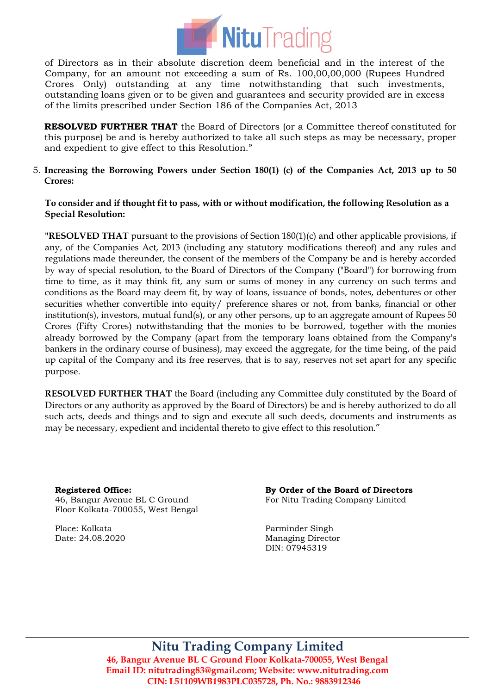

of Directors as in their absolute discretion deem beneficial and in the interest of the Company, for an amount not exceeding a sum of Rs. 100,00,00,000 (Rupees Hundred Crores Only) outstanding at any time notwithstanding that such investments, outstanding loans given or to be given and guarantees and security provided are in excess of the limits prescribed under Section 186 of the Companies Act, 2013

**RESOLVED FURTHER THAT** the Board of Directors (or a Committee thereof constituted for this purpose) be and is hereby authorized to take all such steps as may be necessary, proper and expedient to give effect to this Resolution."

5. **Increasing the Borrowing Powers under Section 180(1) (c) of the Companies Act, 2013 up to 50 Crores:**

## **To consider and if thought fit to pass, with or without modification, the following Resolution as a Special Resolution:**

**"RESOLVED THAT** pursuant to the provisions of Section 180(1)(c) and other applicable provisions, if any, of the Companies Act, 2013 (including any statutory modifications thereof) and any rules and regulations made thereunder, the consent of the members of the Company be and is hereby accorded by way of special resolution, to the Board of Directors of the Company ("Board") for borrowing from time to time, as it may think fit, any sum or sums of money in any currency on such terms and conditions as the Board may deem fit, by way of loans, issuance of bonds, notes, debentures or other securities whether convertible into equity/ preference shares or not, from banks, financial or other institution(s), investors, mutual fund(s), or any other persons, up to an aggregate amount of Rupees 50 Crores (Fifty Crores) notwithstanding that the monies to be borrowed, together with the monies already borrowed by the Company (apart from the temporary loans obtained from the Company's bankers in the ordinary course of business), may exceed the aggregate, for the time being, of the paid up capital of the Company and its free reserves, that is to say, reserves not set apart for any specific purpose.

**RESOLVED FURTHER THAT** the Board (including any Committee duly constituted by the Board of Directors or any authority as approved by the Board of Directors) be and is hereby authorized to do all such acts, deeds and things and to sign and execute all such deeds, documents and instruments as may be necessary, expedient and incidental thereto to give effect to this resolution."

**Registered Office:** 46, Bangur Avenue BL C Ground Floor Kolkata-700055, West Bengal

Place: Kolkata Date: 24.08.2020 **By Order of the Board of Directors** For Nitu Trading Company Limited

Parminder Singh Managing Director DIN: [07945319](http://www.mca.gov.in/mcafoportal/companyLLPMasterData.do)

**Nitu Trading Company Limited**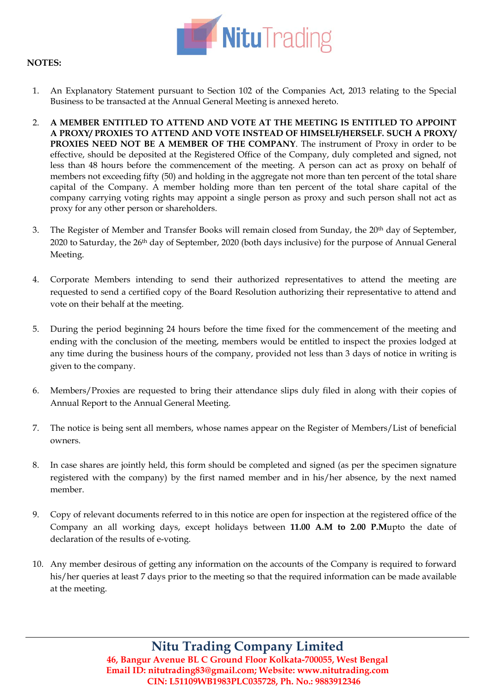

## **NOTES:**

- 1. An Explanatory Statement pursuant to Section 102 of the Companies Act, 2013 relating to the Special Business to be transacted at the Annual General Meeting is annexed hereto.
- 2. **A MEMBER ENTITLED TO ATTEND AND VOTE AT THE MEETING IS ENTITLED TO APPOINT A PROXY/ PROXIES TO ATTEND AND VOTE INSTEAD OF HIMSELF/HERSELF. SUCH A PROXY/ PROXIES NEED NOT BE A MEMBER OF THE COMPANY**. The instrument of Proxy in order to be effective, should be deposited at the Registered Office of the Company, duly completed and signed, not less than 48 hours before the commencement of the meeting. A person can act as proxy on behalf of members not exceeding fifty (50) and holding in the aggregate not more than ten percent of the total share capital of the Company. A member holding more than ten percent of the total share capital of the company carrying voting rights may appoint a single person as proxy and such person shall not act as proxy for any other person or shareholders.
- 3. The Register of Member and Transfer Books will remain closed from Sunday, the 20th day of September, 2020 to Saturday, the 26th day of September, 2020 (both days inclusive) for the purpose of Annual General Meeting.
- 4. Corporate Members intending to send their authorized representatives to attend the meeting are requested to send a certified copy of the Board Resolution authorizing their representative to attend and vote on their behalf at the meeting.
- 5. During the period beginning 24 hours before the time fixed for the commencement of the meeting and ending with the conclusion of the meeting, members would be entitled to inspect the proxies lodged at any time during the business hours of the company, provided not less than 3 days of notice in writing is given to the company.
- 6. Members/Proxies are requested to bring their attendance slips duly filed in along with their copies of Annual Report to the Annual General Meeting.
- 7. The notice is being sent all members, whose names appear on the Register of Members/List of beneficial owners.
- 8. In case shares are jointly held, this form should be completed and signed (as per the specimen signature registered with the company) by the first named member and in his/her absence, by the next named member.
- 9. Copy of relevant documents referred to in this notice are open for inspection at the registered office of the Company an all working days, except holidays between **11.00 A.M to 2.00 P.M**upto the date of declaration of the results of e-voting.
- 10. Any member desirous of getting any information on the accounts of the Company is required to forward his/her queries at least 7 days prior to the meeting so that the required information can be made available at the meeting.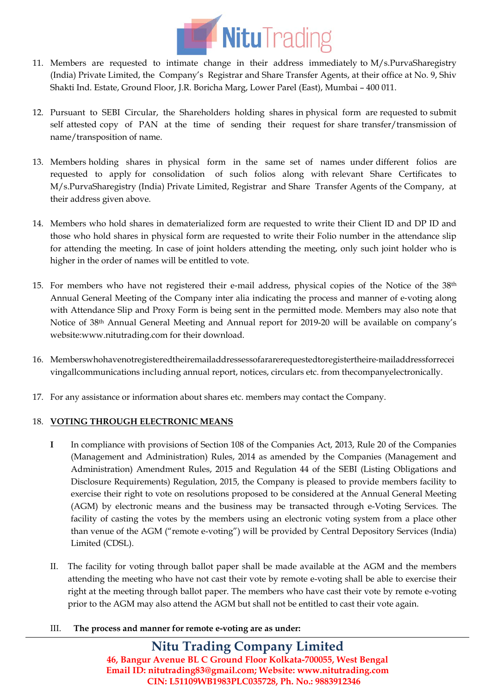

- 11. Members are requested to intimate change in their address immediately to M/s.PurvaSharegistry (India) Private Limited, the Company's Registrar and Share Transfer Agents, at their office at No. 9, Shiv Shakti Ind. Estate, Ground Floor, J.R. Boricha Marg, Lower Parel (East), Mumbai – 400 011.
- 12. Pursuant to SEBI Circular, the Shareholders holding shares in physical form are requested to submit self attested copy of PAN at the time of sending their request for share transfer/transmission of name/transposition of name.
- 13. Members holding shares in physical form in the same set of names under different folios are requested to apply for consolidation of such folios along with relevant Share Certificates to M/s.PurvaSharegistry (India) Private Limited, Registrar and Share Transfer Agents of the Company, at their address given above.
- 14. Members who hold shares in dematerialized form are requested to write their Client ID and DP ID and those who hold shares in physical form are requested to write their Folio number in the attendance slip for attending the meeting. In case of joint holders attending the meeting, only such joint holder who is higher in the order of names will be entitled to vote.
- 15. For members who have not registered their e-mail address, physical copies of the Notice of the 38<sup>th</sup> Annual General Meeting of the Company inter alia indicating the process and manner of e‐voting along with Attendance Slip and Proxy Form is being sent in the permitted mode. Members may also note that Notice of 38th Annual General Meeting and Annual report for 2019-20 will be available on company's website[:www.nitutrading.com](http://www.nitutrading.com/) for their download.
- 16. Memberswhohavenotregisteredtheiremailaddressessofararerequestedtoregistertheire‐mailaddressforrecei vingallcommunications including annual report, notices, circulars etc. from thecompanyelectronically.
- 17. For any assistance or information about shares etc. members may contact the Company.

## 18. **VOTING THROUGH ELECTRONIC MEANS**

- **I** In compliance with provisions of Section 108 of the Companies Act, 2013, Rule 20 of the Companies (Management and Administration) Rules, 2014 as amended by the Companies (Management and Administration) Amendment Rules, 2015 and Regulation 44 of the SEBI (Listing Obligations and Disclosure Requirements) Regulation, 2015, the Company is pleased to provide members facility to exercise their right to vote on resolutions proposed to be considered at the Annual General Meeting (AGM) by electronic means and the business may be transacted through e-Voting Services. The facility of casting the votes by the members using an electronic voting system from a place other than venue of the AGM ("remote e-voting") will be provided by Central Depository Services (India) Limited (CDSL).
- II. The facility for voting through ballot paper shall be made available at the AGM and the members attending the meeting who have not cast their vote by remote e-voting shall be able to exercise their right at the meeting through ballot paper. The members who have cast their vote by remote e-voting prior to the AGM may also attend the AGM but shall not be entitled to cast their vote again.
- III. **The process and manner for remote e-voting are as under:**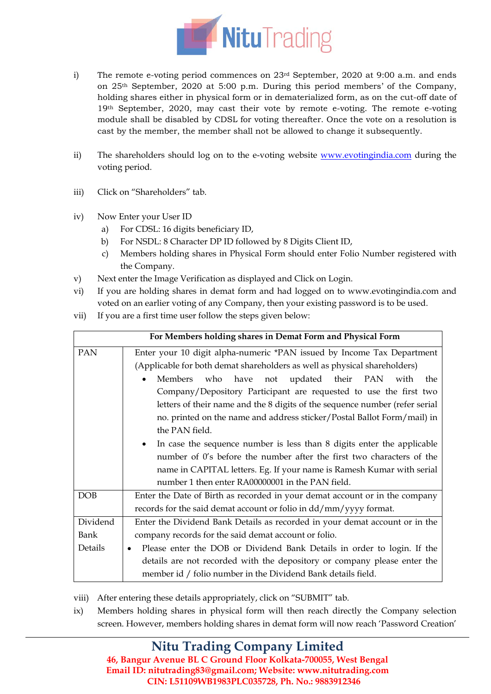

- i) The remote e-voting period commences on  $23<sup>rd</sup>$  September, 2020 at 9:00 a.m. and ends on 25th September, 2020 at 5:00 p.m. During this period members' of the Company, holding shares either in physical form or in dematerialized form, as on the cut-off date of 19<sup>th</sup> September, 2020, may cast their vote by remote e-voting. The remote e-voting module shall be disabled by CDSL for voting thereafter. Once the vote on a resolution is cast by the member, the member shall not be allowed to change it subsequently.
- ii) The shareholders should log on to the e-voting website [www.evotingindia.com](http://www.evotingindia.com/) during the voting period.
- iii) Click on "Shareholders" tab.
- iv) Now Enter your User ID
	- a) For CDSL: 16 digits beneficiary ID,
	- b) For NSDL: 8 Character DP ID followed by 8 Digits Client ID,
	- c) Members holding shares in Physical Form should enter Folio Number registered with the Company.
- v) Next enter the Image Verification as displayed and Click on Login.
- vi) If you are holding shares in demat form and had logged on to [www.evotingindia.com](http://www.evotingindia.com/) and voted on an earlier voting of any Company, then your existing password is to be used.
- vii) If you are a first time user follow the steps given below:

| For Members holding shares in Demat Form and Physical Form |                                                                                                                                                                                                                                                                                                                                                                                                                                                               |  |
|------------------------------------------------------------|---------------------------------------------------------------------------------------------------------------------------------------------------------------------------------------------------------------------------------------------------------------------------------------------------------------------------------------------------------------------------------------------------------------------------------------------------------------|--|
| PAN                                                        | Enter your 10 digit alpha-numeric *PAN issued by Income Tax Department<br>(Applicable for both demat shareholders as well as physical shareholders)<br>Members who have not updated their PAN<br>with<br>the<br>Company/Depository Participant are requested to use the first two<br>letters of their name and the 8 digits of the sequence number (refer serial<br>no. printed on the name and address sticker/Postal Ballot Form/mail) in<br>the PAN field. |  |
|                                                            | In case the sequence number is less than 8 digits enter the applicable<br>$\bullet$<br>number of 0's before the number after the first two characters of the<br>name in CAPITAL letters. Eg. If your name is Ramesh Kumar with serial<br>number 1 then enter RA00000001 in the PAN field.                                                                                                                                                                     |  |
| DOB                                                        | Enter the Date of Birth as recorded in your demat account or in the company<br>records for the said demat account or folio in dd/mm/yyyy format.                                                                                                                                                                                                                                                                                                              |  |
| Dividend<br><b>Bank</b><br>Details                         | Enter the Dividend Bank Details as recorded in your demat account or in the<br>company records for the said demat account or folio.<br>Please enter the DOB or Dividend Bank Details in order to login. If the<br>٠<br>details are not recorded with the depository or company please enter the<br>member id / folio number in the Dividend Bank details field.                                                                                               |  |

- viii) After entering these details appropriately, click on "SUBMIT" tab.
- ix) Members holding shares in physical form will then reach directly the Company selection screen. However, members holding shares in demat form will now reach 'Password Creation'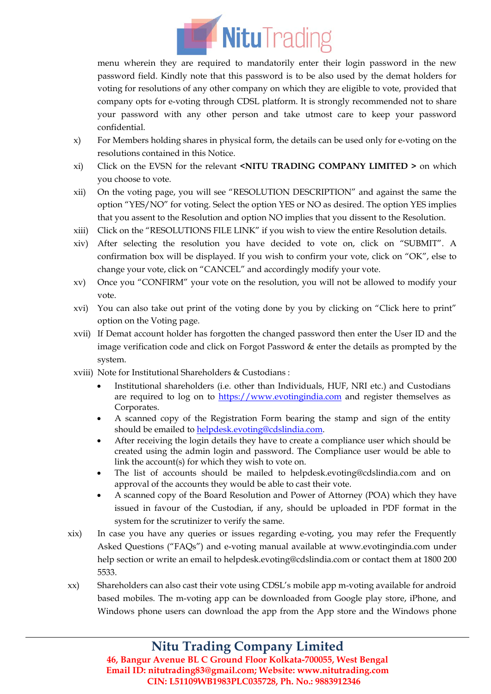

menu wherein they are required to mandatorily enter their login password in the new password field. Kindly note that this password is to be also used by the demat holders for voting for resolutions of any other company on which they are eligible to vote, provided that company opts for e-voting through CDSL platform. It is strongly recommended not to share your password with any other person and take utmost care to keep your password confidential.

- x) For Members holding shares in physical form, the details can be used only for e-voting on the resolutions contained in this Notice.
- xi) Click on the EVSN for the relevant **<NITU TRADING COMPANY LIMITED >** on which you choose to vote.
- xii) On the voting page, you will see "RESOLUTION DESCRIPTION" and against the same the option "YES/NO" for voting. Select the option YES or NO as desired. The option YES implies that you assent to the Resolution and option NO implies that you dissent to the Resolution.
- xiii) Click on the "RESOLUTIONS FILE LINK" if you wish to view the entire Resolution details.
- xiv) After selecting the resolution you have decided to vote on, click on "SUBMIT". A confirmation box will be displayed. If you wish to confirm your vote, click on "OK", else to change your vote, click on "CANCEL" and accordingly modify your vote.
- xv) Once you "CONFIRM" your vote on the resolution, you will not be allowed to modify your vote.
- xvi) You can also take out print of the voting done by you by clicking on "Click here to print" option on the Voting page.
- xvii) If Demat account holder has forgotten the changed password then enter the User ID and the image verification code and click on Forgot Password & enter the details as prompted by the system.
- xviii) Note for Institutional Shareholders & Custodians :
	- Institutional shareholders (i.e. other than Individuals, HUF, NRI etc.) and Custodians are required to log on to [https://www.evotingindia.com](https://www.evotingindia.com/) and register themselves as Corporates.
	- A scanned copy of the Registration Form bearing the stamp and sign of the entity should be emailed t[o helpdesk.evoting@cdslindia.com.](mailto:helpdesk.evoting@cdslindia.com)
	- After receiving the login details they have to create a compliance user which should be created using the admin login and password. The Compliance user would be able to link the account(s) for which they wish to vote on.
	- The list of accounts should be mailed to helpdesk.evoting@cdslindia.com and on approval of the accounts they would be able to cast their vote.
	- A scanned copy of the Board Resolution and Power of Attorney (POA) which they have issued in favour of the Custodian, if any, should be uploaded in PDF format in the system for the scrutinizer to verify the same.
- xix) In case you have any queries or issues regarding e-voting, you may refer the Frequently Asked Questions ("FAQs") and e-voting manual available at [www.evotingindia.com](http://www.evotingindia.com/) under help section or write an email to [helpdesk.evoting@cdslindia.com](mailto:helpdesk.evoting@cdslindia.com) or contact them at 1800 200 5533.
- xx) Shareholders can also cast their vote using CDSL's mobile app m-voting available for android based mobiles. The m-voting app can be downloaded from Google play store, iPhone, and Windows phone users can download the app from the App store and the Windows phone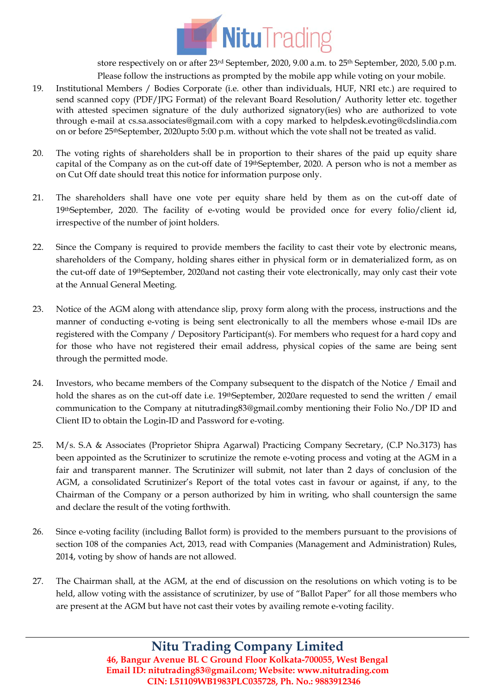

store respectively on or after 23<sup>rd</sup> September, 2020, 9.00 a.m. to 25<sup>th</sup> September, 2020, 5.00 p.m. Please follow the instructions as prompted by the mobile app while voting on your mobile.

- 19. Institutional Members / Bodies Corporate (i.e. other than individuals, HUF, NRI etc.) are required to send scanned copy (PDF/JPG Format) of the relevant Board Resolution/ Authority letter etc. together with attested specimen signature of the duly authorized signatory(ies) who are authorized to vote through e-mail at cs.sa.associates@gmail.com with a copy marked to helpdesk.evoting@cdslindia.com on or before 25thSeptember, 2020upto 5:00 p.m. without which the vote shall not be treated as valid.
- 20. The voting rights of shareholders shall be in proportion to their shares of the paid up equity share capital of the Company as on the cut-off date of 19thSeptember, 2020. A person who is not a member as on Cut Off date should treat this notice for information purpose only.
- 21. The shareholders shall have one vote per equity share held by them as on the cut-off date of 19thSeptember, 2020. The facility of e-voting would be provided once for every folio/client id, irrespective of the number of joint holders.
- 22. Since the Company is required to provide members the facility to cast their vote by electronic means, shareholders of the Company, holding shares either in physical form or in dematerialized form, as on the cut-off date of 19thSeptember, 2020and not casting their vote electronically, may only cast their vote at the Annual General Meeting.
- 23. Notice of the AGM along with attendance slip, proxy form along with the process, instructions and the manner of conducting e-voting is being sent electronically to all the members whose e-mail IDs are registered with the Company / Depository Participant(s). For members who request for a hard copy and for those who have not registered their email address, physical copies of the same are being sent through the permitted mode.
- 24. Investors, who became members of the Company subsequent to the dispatch of the Notice / Email and hold the shares as on the cut-off date i.e. 19<sup>th</sup>September, 2020are requested to send the written / email communication to the Company at nitutrading83@gmail.comby mentioning their Folio No./DP ID and Client ID to obtain the Login-ID and Password for e-voting.
- 25. M/s. S.A & Associates (Proprietor Shipra Agarwal) Practicing Company Secretary, (C.P No.3173) has been appointed as the Scrutinizer to scrutinize the remote e-voting process and voting at the AGM in a fair and transparent manner. The Scrutinizer will submit, not later than 2 days of conclusion of the AGM, a consolidated Scrutinizer's Report of the total votes cast in favour or against, if any, to the Chairman of the Company or a person authorized by him in writing, who shall countersign the same and declare the result of the voting forthwith.
- 26. Since e-voting facility (including Ballot form) is provided to the members pursuant to the provisions of section 108 of the companies Act, 2013, read with Companies (Management and Administration) Rules, 2014, voting by show of hands are not allowed.
- 27. The Chairman shall, at the AGM, at the end of discussion on the resolutions on which voting is to be held, allow voting with the assistance of scrutinizer, by use of "Ballot Paper" for all those members who are present at the AGM but have not cast their votes by availing remote e-voting facility.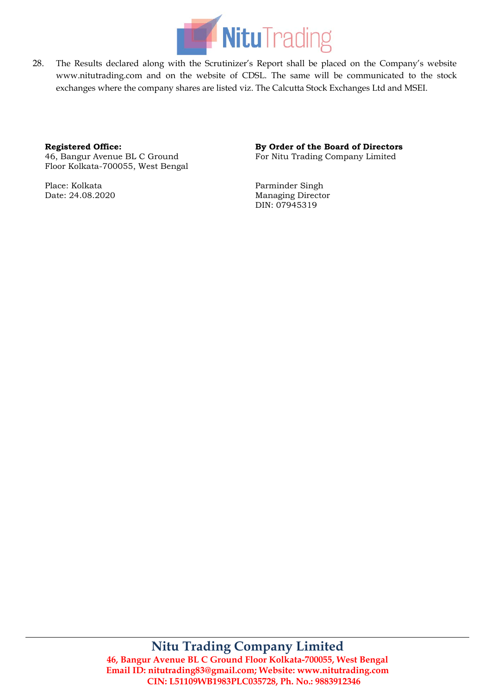

28. The Results declared along with the Scrutinizer's Report shall be placed on the Company's website www.nitutrading.com and on the website of CDSL. The same will be communicated to the stock exchanges where the company shares are listed viz. The Calcutta Stock Exchanges Ltd and MSEI.

#### **Registered Office:**

46, Bangur Avenue BL C Ground Floor Kolkata-700055, West Bengal

Place: Kolkata Date: 24.08.2020

## **By Order of the Board of Directors**

For Nitu Trading Company Limited

Parminder Singh Managing Director DIN: [07945319](http://www.mca.gov.in/mcafoportal/companyLLPMasterData.do)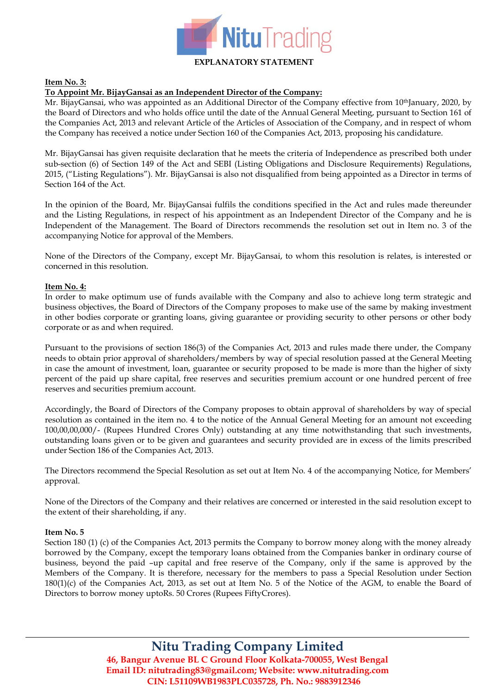

#### **Item No. 3:**

#### **To Appoint Mr. BijayGansai as an Independent Director of the Company:**

Mr. BijayGansai, who was appointed as an Additional Director of the Company effective from 10<sup>th</sup>January, 2020, by the Board of Directors and who holds office until the date of the Annual General Meeting, pursuant to Section 161 of the Companies Act, 2013 and relevant Article of the Articles of Association of the Company, and in respect of whom the Company has received a notice under Section 160 of the Companies Act, 2013, proposing his candidature.

Mr. BijayGansai has given requisite declaration that he meets the criteria of Independence as prescribed both under sub-section (6) of Section 149 of the Act and SEBI (Listing Obligations and Disclosure Requirements) Regulations, 2015, ("Listing Regulations"). Mr. BijayGansai is also not disqualified from being appointed as a Director in terms of Section 164 of the Act.

In the opinion of the Board, Mr. BijayGansai fulfils the conditions specified in the Act and rules made thereunder and the Listing Regulations, in respect of his appointment as an Independent Director of the Company and he is Independent of the Management. The Board of Directors recommends the resolution set out in Item no. 3 of the accompanying Notice for approval of the Members.

None of the Directors of the Company, except Mr. BijayGansai, to whom this resolution is relates, is interested or concerned in this resolution.

#### **Item No. 4:**

In order to make optimum use of funds available with the Company and also to achieve long term strategic and business objectives, the Board of Directors of the Company proposes to make use of the same by making investment in other bodies corporate or granting loans, giving guarantee or providing security to other persons or other body corporate or as and when required.

Pursuant to the provisions of section 186(3) of the Companies Act, 2013 and rules made there under, the Company needs to obtain prior approval of shareholders/members by way of special resolution passed at the General Meeting in case the amount of investment, loan, guarantee or security proposed to be made is more than the higher of sixty percent of the paid up share capital, free reserves and securities premium account or one hundred percent of free reserves and securities premium account.

Accordingly, the Board of Directors of the Company proposes to obtain approval of shareholders by way of special resolution as contained in the item no. 4 to the notice of the Annual General Meeting for an amount not exceeding 100,00,00,000/- (Rupees Hundred Crores Only) outstanding at any time notwithstanding that such investments, outstanding loans given or to be given and guarantees and security provided are in excess of the limits prescribed under Section 186 of the Companies Act, 2013.

The Directors recommend the Special Resolution as set out at Item No. 4 of the accompanying Notice, for Members' approval.

None of the Directors of the Company and their relatives are concerned or interested in the said resolution except to the extent of their shareholding, if any.

#### **Item No. 5**

Section 180 (1) (c) of the Companies Act, 2013 permits the Company to borrow money along with the money already borrowed by the Company, except the temporary loans obtained from the Companies banker in ordinary course of business, beyond the paid –up capital and free reserve of the Company, only if the same is approved by the Members of the Company. It is therefore, necessary for the members to pass a Special Resolution under Section 180(1)(c) of the Companies Act, 2013, as set out at Item No. 5 of the Notice of the AGM, to enable the Board of Directors to borrow money uptoRs. 50 Crores (Rupees FiftyCrores).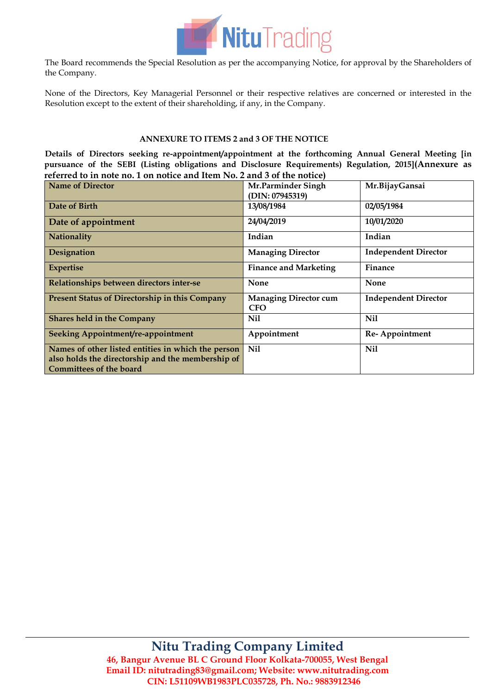

The Board recommends the Special Resolution as per the accompanying Notice, for approval by the Shareholders of the Company.

None of the Directors, Key Managerial Personnel or their respective relatives are concerned or interested in the Resolution except to the extent of their shareholding, if any, in the Company.

#### **ANNEXURE TO ITEMS 2 and 3 OF THE NOTICE**

**Details of Directors seeking re-appointment/appointment at the forthcoming Annual General Meeting [in pursuance of the SEBI (Listing obligations and Disclosure Requirements) Regulation, 2015](Annexure as referred to in note no. 1 on notice and Item No. 2 and 3 of the notice)**

| <b>Name of Director</b>                               | Mr.Parminder Singh                         | Mr.BijayGansai              |
|-------------------------------------------------------|--------------------------------------------|-----------------------------|
|                                                       | (DIN: 07945319)                            |                             |
| Date of Birth                                         | 13/08/1984                                 | 02/05/1984                  |
| Date of appointment                                   | 24/04/2019                                 | 10/01/2020                  |
| Nationality                                           | Indian                                     | Indian                      |
| Designation                                           | <b>Managing Director</b>                   | <b>Independent Director</b> |
| <b>Expertise</b>                                      | <b>Finance and Marketing</b>               | Finance                     |
| Relationships between directors inter-se              | <b>None</b>                                | <b>None</b>                 |
| <b>Present Status of Directorship in this Company</b> | <b>Managing Director cum</b><br><b>CFO</b> | <b>Independent Director</b> |
| <b>Shares held in the Company</b>                     | Nil                                        | <b>Nil</b>                  |
| Seeking Appointment/re-appointment                    | Appointment                                | Re-Appointment              |
| Names of other listed entities in which the person    | <b>Nil</b>                                 | <b>Nil</b>                  |
| also holds the directorship and the membership of     |                                            |                             |
| <b>Committees of the board</b>                        |                                            |                             |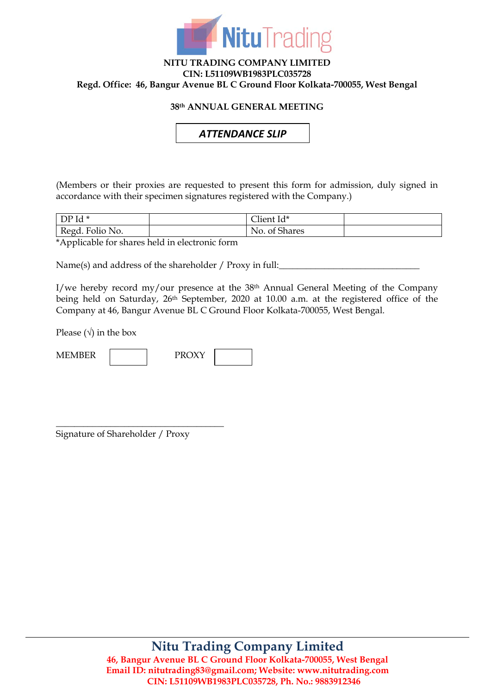

## **NITU TRADING COMPANY LIMITED CIN: L51109WB1983PLC035728 Regd. Office: 46, Bangur Avenue BL C Ground Floor Kolkata-700055, West Bengal**

## **38th ANNUAL GENERAL MEETING**

*ATTENDANCE SLIP*

(Members or their proxies are requested to present this form for admission, duly signed in accordance with their specimen signatures registered with the Company.)

| $DPId*$         | Client Id*                 |  |
|-----------------|----------------------------|--|
| Regd. Folio No. | ໍ ຕາ<br>No.<br>. of Shares |  |

\*Applicable for shares held in electronic form

Name(s) and address of the shareholder / Proxy in full:

I/we hereby record my/our presence at the 38th Annual General Meeting of the Company being held on Saturday, 26th September, 2020 at 10.00 a.m. at the registered office of the Company at 46, Bangur Avenue BL C Ground Floor Kolkata-700055, West Bengal.

Please  $(\sqrt{})$  in the box

| n morn<br>$\mathbf{A}$ | <b>PROYV</b> |  |
|------------------------|--------------|--|
|------------------------|--------------|--|

\_\_\_\_\_\_\_\_\_\_\_\_\_\_\_\_\_\_\_\_\_\_\_\_\_\_\_\_\_\_\_\_\_\_\_\_\_ Signature of Shareholder / Proxy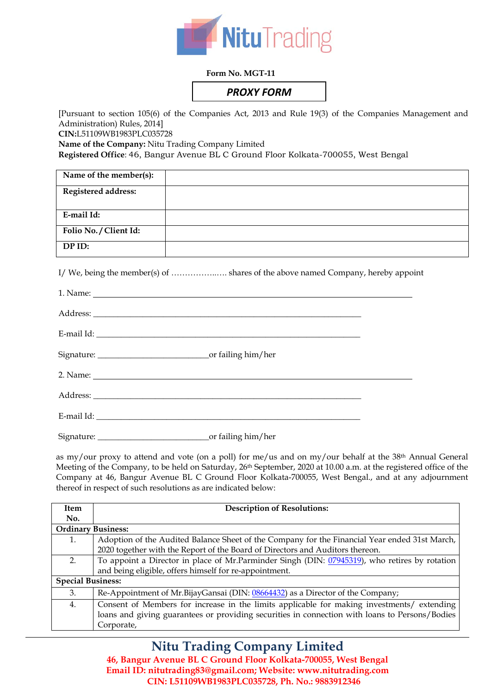

#### **Form No. MGT-11**

# *PROXY FORM*

[Pursuant to section 105(6) of the Companies Act, 2013 and Rule 19(3) of the Companies Management and Administration) Rules, 2014] **CIN:**L51109WB1983PLC035728 **Name of the Company:** Nitu Trading Company Limited

**Registered Office**: 46, Bangur Avenue BL C Ground Floor Kolkata-700055, West Bengal

| Name of the member(s): |  |
|------------------------|--|
| Registered address:    |  |
| E-mail Id:             |  |
| Folio No. / Client Id: |  |
| DP ID:                 |  |

I/ We, being the member(s) of ……………..…. shares of the above named Company, hereby appoint

as my/our proxy to attend and vote (on a poll) for me/us and on my/our behalf at the 38th Annual General Meeting of the Company, to be held on Saturday, 26<sup>th</sup> September, 2020 at 10.00 a.m. at the registered office of the Company at 46, Bangur Avenue BL C Ground Floor Kolkata-700055, West Bengal., and at any adjournment thereof in respect of such resolutions as are indicated below:

| <b>Item</b>               | <b>Description of Resolutions:</b>                                                             |
|---------------------------|------------------------------------------------------------------------------------------------|
| No.                       |                                                                                                |
| <b>Ordinary Business:</b> |                                                                                                |
|                           | Adoption of the Audited Balance Sheet of the Company for the Financial Year ended 31st March,  |
|                           | 2020 together with the Report of the Board of Directors and Auditors thereon.                  |
| 2.                        | To appoint a Director in place of Mr.Parminder Singh (DIN: 07945319), who retires by rotation  |
|                           | and being eligible, offers himself for re-appointment.                                         |
| <b>Special Business:</b>  |                                                                                                |
| 3.                        | Re-Appointment of Mr.BijayGansai (DIN: 08664432) as a Director of the Company;                 |
| 4.                        | Consent of Members for increase in the limits applicable for making investments/ extending     |
|                           | loans and giving guarantees or providing securities in connection with loans to Persons/Bodies |
|                           | Corporate,                                                                                     |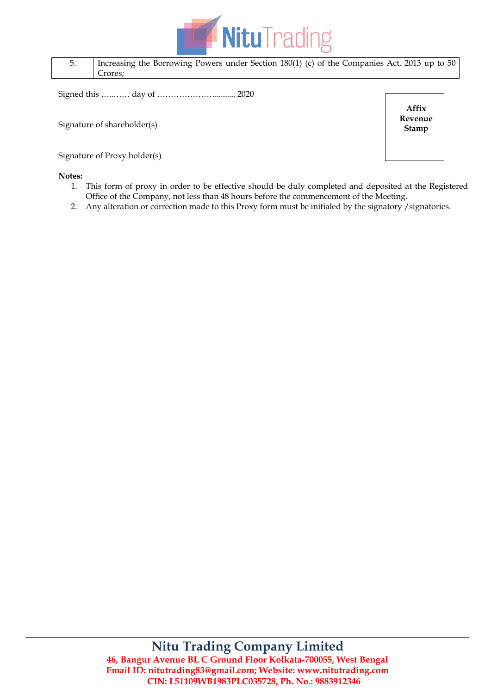

| Increasing the Borrowing Powers under Section $180(1)$ (c) of the Companies Act, 2013 up to 50 |
|------------------------------------------------------------------------------------------------|
| Crores:                                                                                        |

Signed this …..…… day of ………………….......... 2020

Signature of shareholder(s)

Signature of Proxy holder(s)

#### **Notes:**

1. This form of proxy in order to be effective should be duly completed and deposited at the Registered Office of the Company, not less than 48 hours before the commencement of the Meeting.

**Affix Revenue Stamp**

2. Any alteration or correction made to this Proxy form must be initialed by the signatory /signatories.